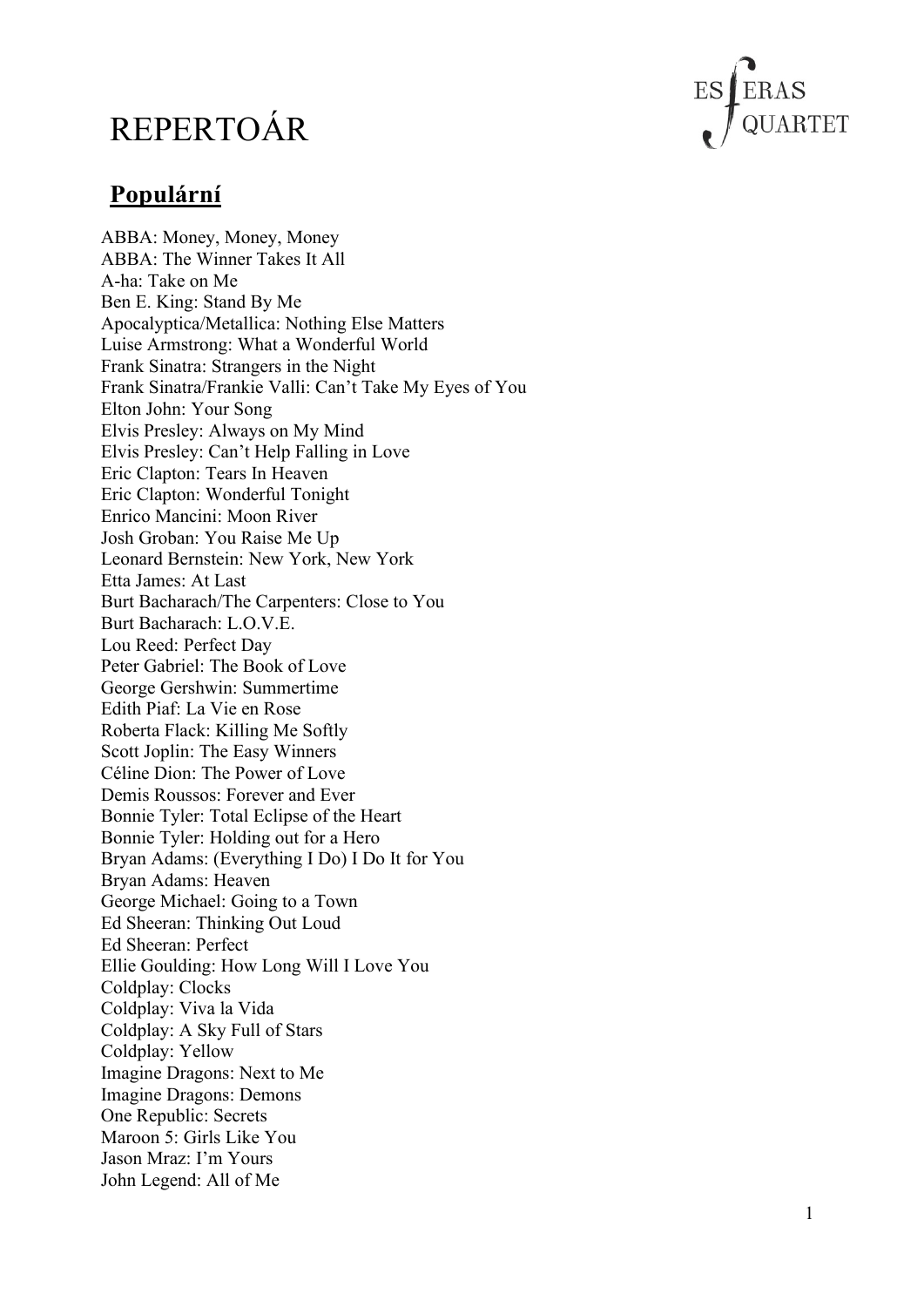# REPERTOÁR



## **Populární**

ABBA: Money, Money, Money ABBA: The Winner Takes It All A-ha: Take on Me Ben E. King: Stand By Me Apocalyptica/Metallica: Nothing Else Matters Luise Armstrong: What a Wonderful World Frank Sinatra: Strangers in the Night Frank Sinatra/Frankie Valli: Can't Take My Eyes of You Elton John: Your Song Elvis Presley: Always on My Mind Elvis Presley: Can't Help Falling in Love Eric Clapton: Tears In Heaven Eric Clapton: Wonderful Tonight Enrico Mancini: Moon River Josh Groban: You Raise Me Up Leonard Bernstein: New York, New York Etta James: At Last Burt Bacharach/The Carpenters: Close to You Burt Bacharach: L.O.V.E. Lou Reed: Perfect Day Peter Gabriel: The Book of Love George Gershwin: Summertime Edith Piaf: La Vie en Rose Roberta Flack: Killing Me Softly Scott Joplin: The Easy Winners Céline Dion: The Power of Love Demis Roussos: Forever and Ever Bonnie Tyler: Total Eclipse of the Heart Bonnie Tyler: Holding out for a Hero Bryan Adams: (Everything I Do) I Do It for You Bryan Adams: Heaven George Michael: Going to a Town Ed Sheeran: Thinking Out Loud Ed Sheeran: Perfect Ellie Goulding: How Long Will I Love You Coldplay: Clocks Coldplay: Viva la Vida Coldplay: A Sky Full of Stars Coldplay: Yellow Imagine Dragons: Next to Me Imagine Dragons: Demons One Republic: Secrets Maroon 5: Girls Like You Jason Mraz: I'm Yours John Legend: All of Me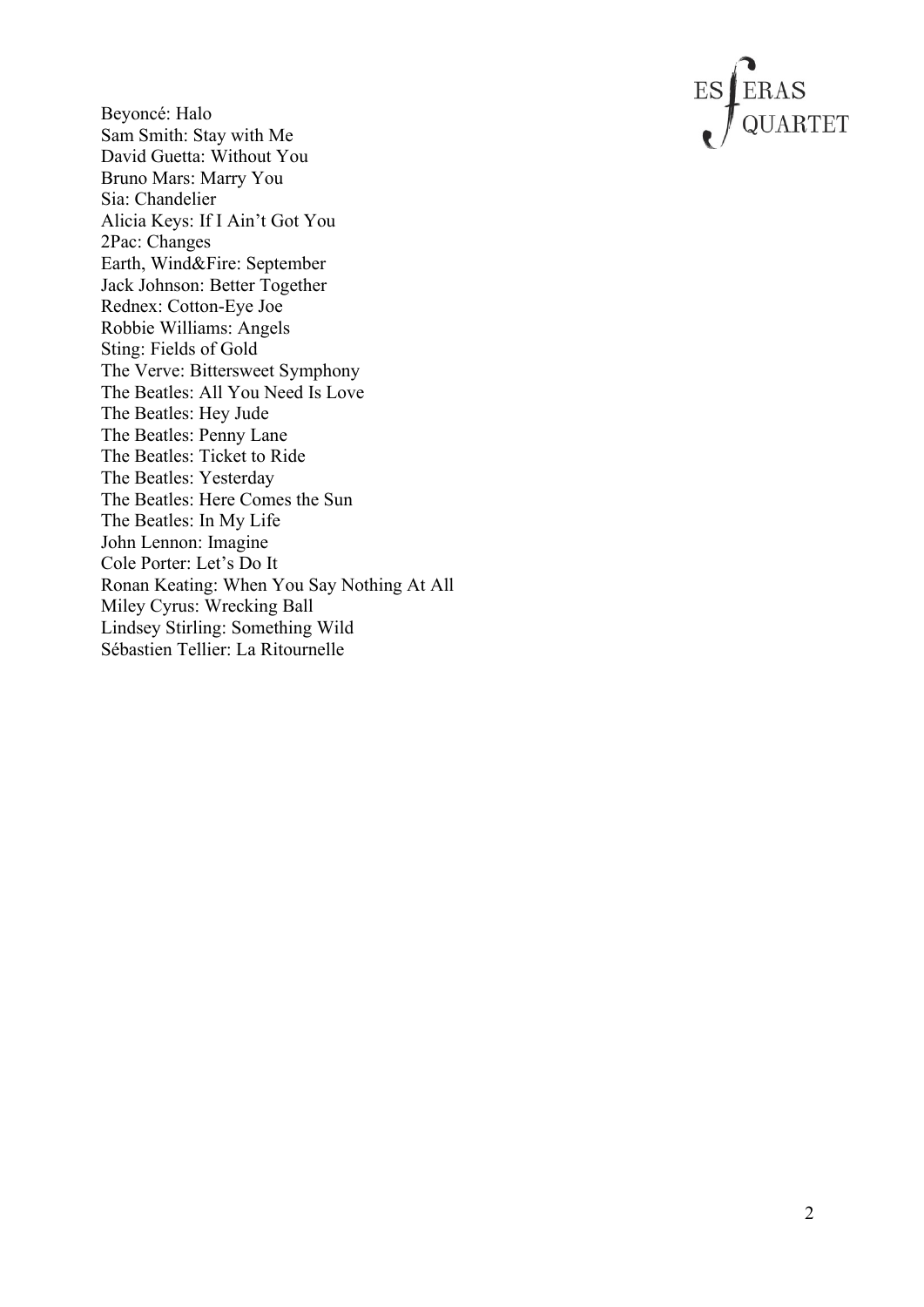

Beyoncé: Halo Sam Smith: Stay with Me David Guetta: Without You Bruno Mars: Marry You Sia: Chandelier Alicia Keys: If I Ain't Got You 2Pac: Changes Earth, Wind&Fire: September Jack Johnson: Better Together Rednex: Cotton-Eye Joe Robbie Williams: Angels Sting: Fields of Gold The Verve: Bittersweet Symphony The Beatles: All You Need Is Love The Beatles: Hey Jude The Beatles: Penny Lane The Beatles: Ticket to Ride The Beatles: Yesterday The Beatles: Here Comes the Sun The Beatles: In My Life John Lennon: Imagine Cole Porter: Let's Do It Ronan Keating: When You Say Nothing At All Miley Cyrus: Wrecking Ball Lindsey Stirling: Something Wild Sébastien Tellier: La Ritournelle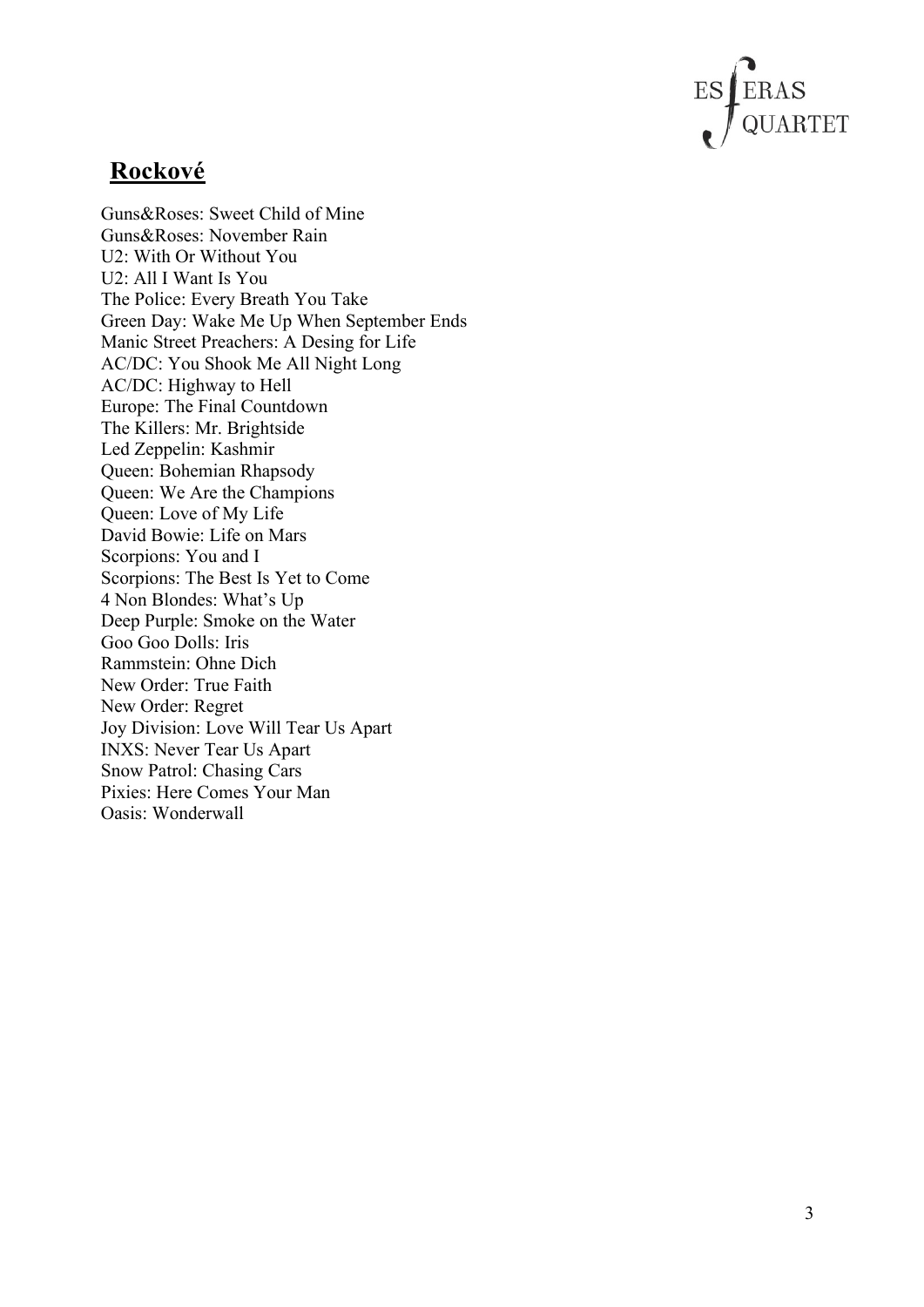

#### **Rockové**

Guns&Roses: Sweet Child of Mine Guns&Roses: November Rain U2: With Or Without You U2: All I Want Is You The Police: Every Breath You Take Green Day: Wake Me Up When September Ends Manic Street Preachers: A Desing for Life AC/DC: You Shook Me All Night Long AC/DC: Highway to Hell Europe: The Final Countdown The Killers: Mr. Brightside Led Zeppelin: Kashmir Queen: Bohemian Rhapsody Queen: We Are the Champions Queen: Love of My Life David Bowie: Life on Mars Scorpions: You and I Scorpions: The Best Is Yet to Come 4 Non Blondes: What's Up Deep Purple: Smoke on the Water Goo Goo Dolls: Iris Rammstein: Ohne Dich New Order: True Faith New Order: Regret Joy Division: Love Will Tear Us Apart INXS: Never Tear Us Apart Snow Patrol: Chasing Cars Pixies: Here Comes Your Man Oasis: Wonderwall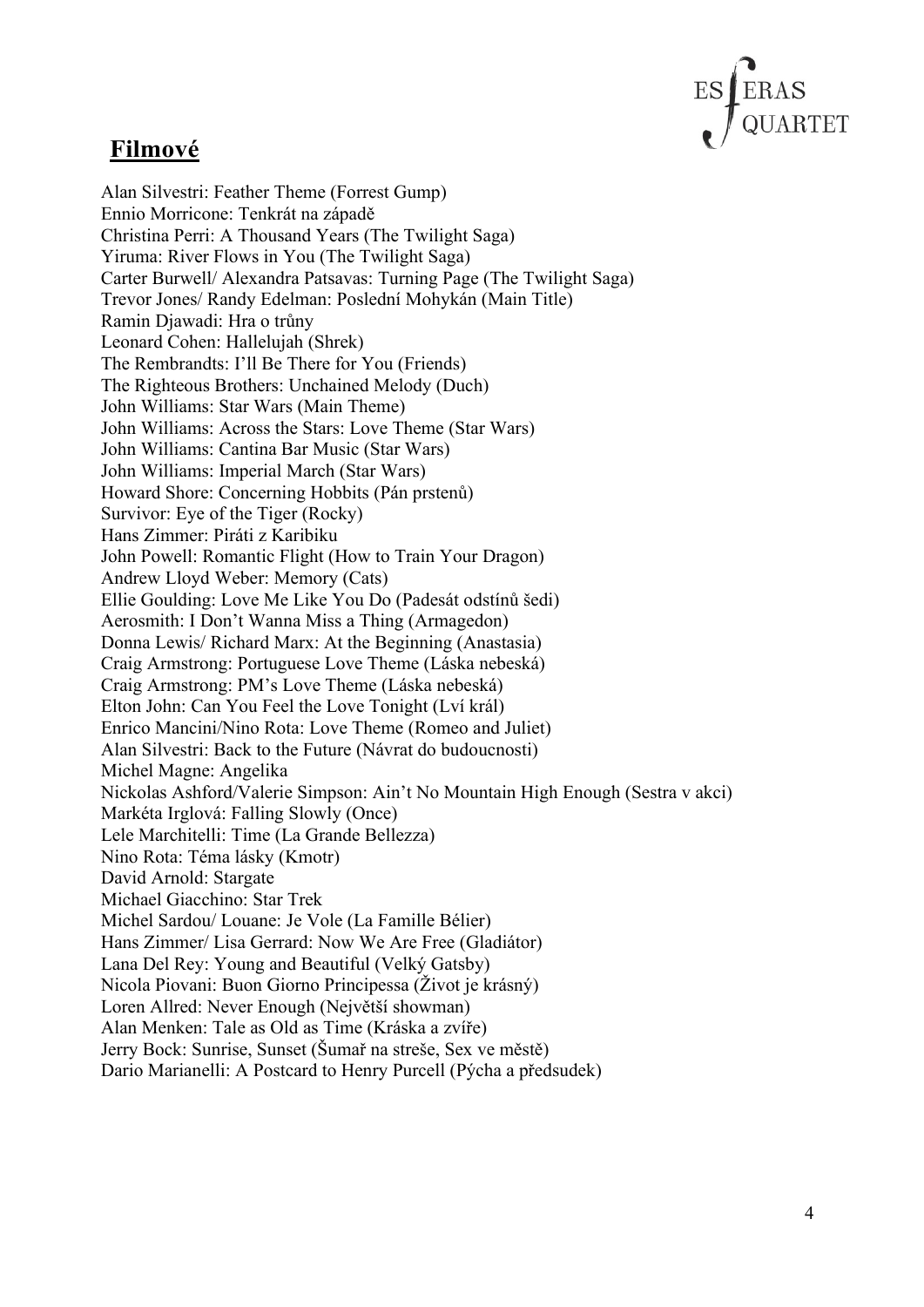

#### **Filmové**

Alan Silvestri: Feather Theme (Forrest Gump) Ennio Morricone: Tenkrát na západě Christina Perri: A Thousand Years (The Twilight Saga) Yiruma: River Flows in You (The Twilight Saga) Carter Burwell/ Alexandra Patsavas: Turning Page (The Twilight Saga) Trevor Jones/ Randy Edelman: Poslední Mohykán (Main Title) Ramin Djawadi: Hra o trůny Leonard Cohen: Hallelujah (Shrek) The Rembrandts: I'll Be There for You (Friends) The Righteous Brothers: Unchained Melody (Duch) John Williams: Star Wars (Main Theme) John Williams: Across the Stars: Love Theme (Star Wars) John Williams: Cantina Bar Music (Star Wars) John Williams: Imperial March (Star Wars) Howard Shore: Concerning Hobbits (Pán prstenů) Survivor: Eye of the Tiger (Rocky) Hans Zimmer: Piráti z Karibiku John Powell: Romantic Flight (How to Train Your Dragon) Andrew Lloyd Weber: Memory (Cats) Ellie Goulding: Love Me Like You Do (Padesát odstínů šedi) Aerosmith: I Don't Wanna Miss a Thing (Armagedon) Donna Lewis/ Richard Marx: At the Beginning (Anastasia) Craig Armstrong: Portuguese Love Theme (Láska nebeská) Craig Armstrong: PM's Love Theme (Láska nebeská) Elton John: Can You Feel the Love Tonight (Lví král) Enrico Mancini/Nino Rota: Love Theme (Romeo and Juliet) Alan Silvestri: Back to the Future (Návrat do budoucnosti) Michel Magne: Angelika Nickolas Ashford/Valerie Simpson: Ain't No Mountain High Enough (Sestra v akci) Markéta Irglová: Falling Slowly (Once) Lele Marchitelli: Time (La Grande Bellezza) Nino Rota: Téma lásky (Kmotr) David Arnold: Stargate Michael Giacchino: Star Trek Michel Sardou/ Louane: Je Vole (La Famille Bélier) Hans Zimmer/ Lisa Gerrard: Now We Are Free (Gladiátor) Lana Del Rey: Young and Beautiful (Velký Gatsby) Nicola Piovani: Buon Giorno Principessa (Život je krásný) Loren Allred: Never Enough (Největší showman) Alan Menken: Tale as Old as Time (Kráska a zvíře) Jerry Bock: Sunrise, Sunset (Šumař na streše, Sex ve městě) Dario Marianelli: A Postcard to Henry Purcell (Pýcha a předsudek)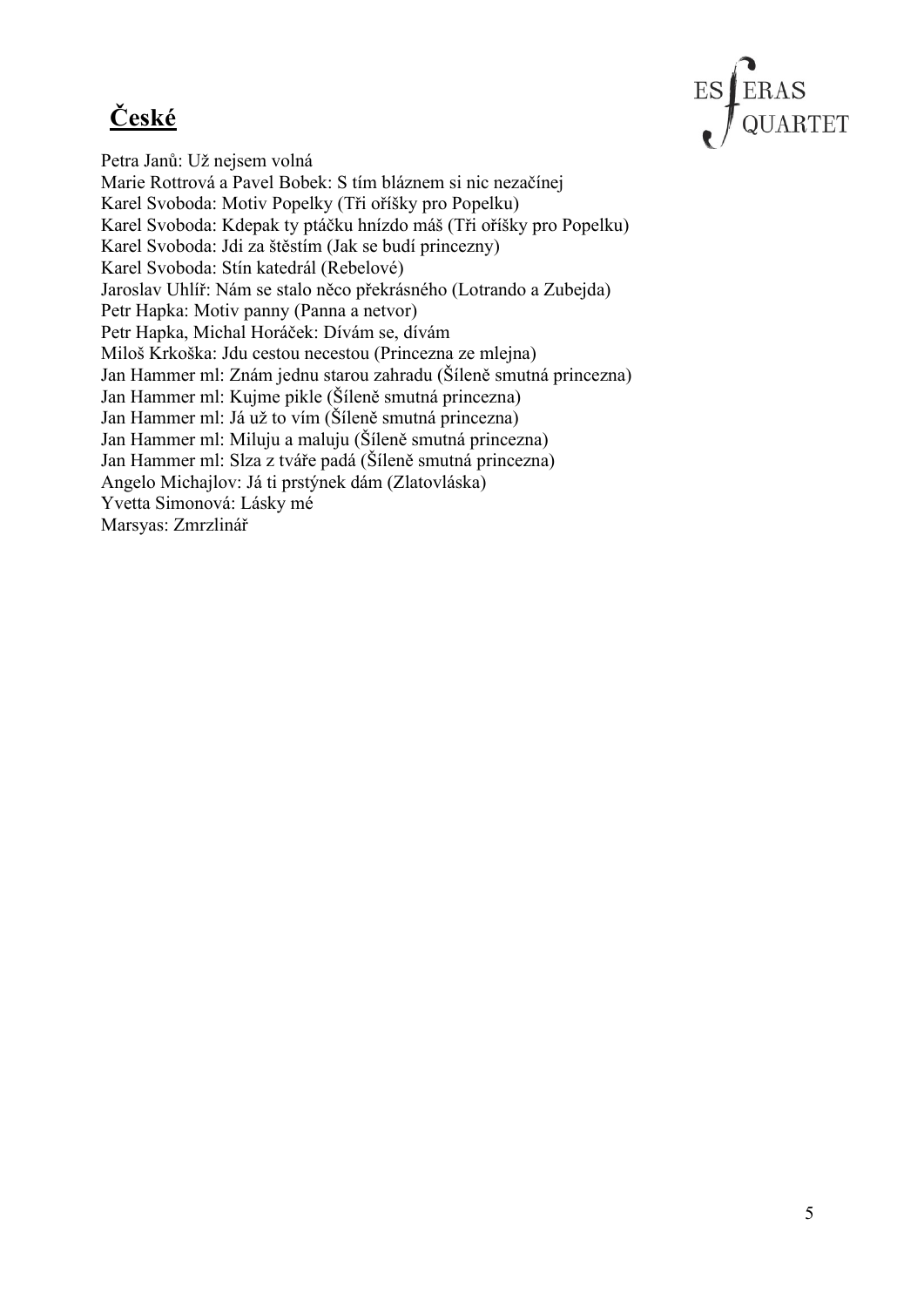## **České**



Petra Janů: Už nejsem volná Marie Rottrová a Pavel Bobek: S tím bláznem si nic nezačínej Karel Svoboda: Motiv Popelky (Tři oříšky pro Popelku) Karel Svoboda: Kdepak ty ptáčku hnízdo máš (Tři oříšky pro Popelku) Karel Svoboda: Jdi za štěstím (Jak se budí princezny) Karel Svoboda: Stín katedrál (Rebelové) Jaroslav Uhlíř: Nám se stalo něco překrásného (Lotrando a Zubejda) Petr Hapka: Motiv panny (Panna a netvor) Petr Hapka, Michal Horáček: Dívám se, dívám Miloš Krkoška: Jdu cestou necestou (Princezna ze mlejna) Jan Hammer ml: Znám jednu starou zahradu (Šíleně smutná princezna) Jan Hammer ml: Kujme pikle (Šíleně smutná princezna) Jan Hammer ml: Já už to vím (Šíleně smutná princezna) Jan Hammer ml: Miluju a maluju (Šíleně smutná princezna) Jan Hammer ml: Slza z tváře padá (Šíleně smutná princezna) Angelo Michajlov: Já ti prstýnek dám (Zlatovláska) Yvetta Simonová: Lásky mé Marsyas: Zmrzlinář